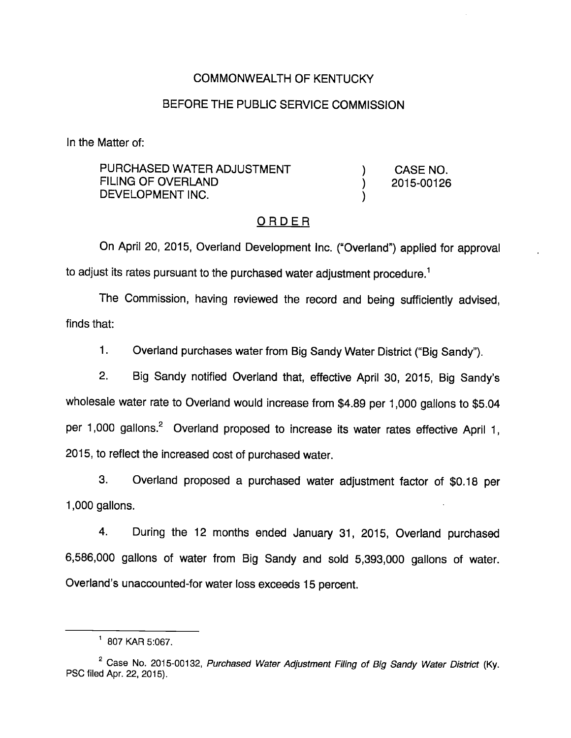## COMMONWEALTH OF KENTUCKY

# BEFORE THE PUBLIC SERVICE COMMISSION

In the Matter of:

PURCHASED WATER ADJUSTMENT (and ) CASE NO. FILING OF OVERLAND (2015-00126) DEVELOPMENT INC.

#### ORDER

On April 20, 2015, Overland Development Inc. ("Overland") applied for approval to adjust its rates pursuant to the purchased water adjustment procedure.<sup>1</sup>

The Commission, having reviewed the record and being sufficiently advised, finds that:

1. Overland purchases water from Big Sandy Water District ("Big Sandy").

2. Big Sandy notified Overland that, effective April 30, 2015, Big Sandy's wholesale water rate to Overland would increase from \$4.89 per 1,000 gallons to \$5.04 per 1,000 gallons.<sup>2</sup> Overland proposed to increase its water rates effective April 1, 2015, to reflect the increased cost of purchased water.

3. Overland proposed a purchased water adjustment factor of \$0.18 per 1,000 gallons.

4. During the 12 months ended January 31, 2015, Overland purchased 6,586,000 gallons of water from Big Sandy and sold 5,393,000 gallons of water. Overland's unaccounted-for water loss exceeds 15 percent.

 $1$  807 KAR 5:067.

 $2^{\circ}$  Case No. 2015-00132, Purchased Water Adjustment Filing of Big Sandy Water District (Ky. PSC filed Apr. 22, 2015).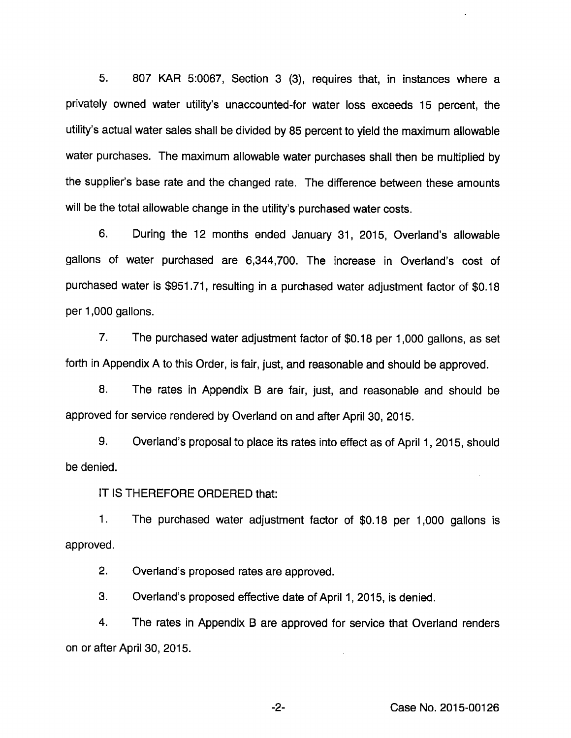5. 807 KAR 5:0067, Section 3 (3), requires that, in instances where a privateiy owned water utiiity's unaccounted-for water ioss exceeds 15 percent, the utility's actual water sales shall be divided by 85 percent to yield the maximum allowable water purchases. The maximum allowable water purchases shall then be multiplied by the suppiier's base rate and the changed rate. The difference between these amounts will be the total allowable change in the utility's purchased water costs.

6. During the 12 months ended January 31, 2015, Overland's allowable gallons of water purchased are 6,344,700. The increase in Overland's cost of purchased water is \$951.71, resuiting in a purchased water adjustment factor of \$0.18 per 1,000 gallons.

7. The purchased water adjustment factor of \$0.18 per 1,000 gaiions, as set forth in Appendix A to this Order, is fair, just, and reasonable and should be approved.

8. The rates in Appendix B are fair, just, and reasonable and should be approved for service rendered by Overland on and after April 30, 2015.

9. Overland's proposal to place its rates into effect as of April 1, 2015, should be denied.

IT IS THEREFORE ORDERED that:

1. The purchased water adjustment factor of \$0.18 per 1,000 gaiions is approved.

2. Overland's proposed rates are approved.

3. Overland's proposed effective date of April 1, 2015, is denied.

4. The rates in Appendix B are approved for service that Overland renders on or after April 30, 2015.

-2- Case No. 2015-00126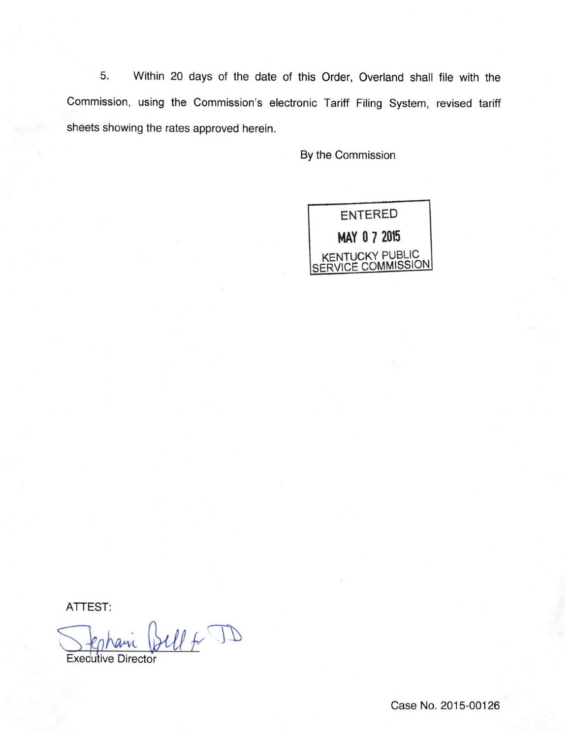5. Within 20 days of the date of this Order, Overland shall file with the Commission, using the Commission's electronic Tariff Filing System, revised tariff sheets showing the rates approved herein.

By the Commission



ATTEST:

V Stephanic Bell + JD

Case No. 2015-00126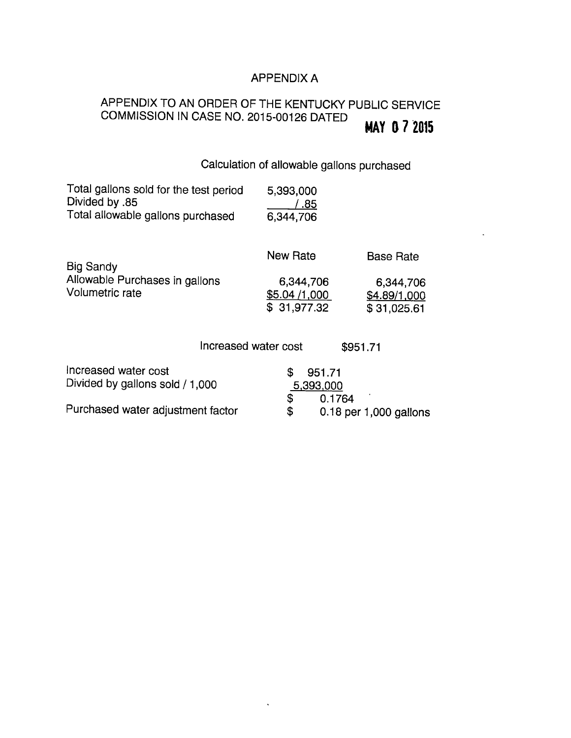# APPENDIX A

#### APPENDIX TO AN ORDER OF THE KENTUCKY PUBLIC SERVICE COMMISSION IN CASE NO. 2015-00126 DATED MAY 0 7 2015

Calculation of allowable gallons purchased

| Total gallons sold for the test period<br>Divided by .85<br>Total allowable gallons purchased | 5,393,000<br>.85<br>6,344,706 |                  |
|-----------------------------------------------------------------------------------------------|-------------------------------|------------------|
| Big Sandy                                                                                     | <b>New Rate</b>               | <b>Base Rate</b> |
| Allowable Purchases in gallons                                                                | 6,344,706                     | 6,344,706        |
| Volumetric rate                                                                               | \$5.04 /1,000                 | \$4.89/1,000     |
|                                                                                               | \$31,977.32                   | \$31,025.61      |
|                                                                                               |                               |                  |
|                                                                                               | Increased water cost          | \$951.71         |
| Increased water cost                                                                          | \$<br>951.71                  |                  |

| Divided by gallons sold / 1,000   | 5,393,000 |                                    |
|-----------------------------------|-----------|------------------------------------|
| Purchased water adjustment factor |           | 0.1764<br>$0.18$ per 1,000 gallons |

 $\ddot{\phantom{0}}$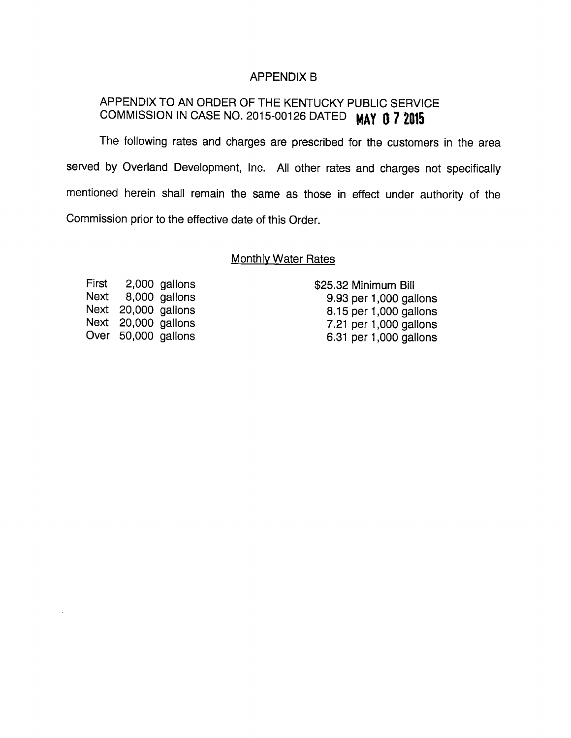#### APPENDIX B

# APPENDIX TO AN ORDER OF THE KENTUCKY PUBLIC SERVICE COMMISSION IN CASE NO. 2015-00126 DATED MAY 0 7 2015

The following rates and charges are prescribed for the customers in the area served by Overland Development, Inc. All other rates and charges not specifically mentioned herein shall remain the same as those in effect under authority of the Commission prior to the effective date of this Order.

## **Monthly Water Rates**

First 2,000 gallons \$25.32 Minimum Bill

Next 8,000 gallons 9.93 per 1,000 gallons Next 20,000 gallons 8.15 per 1,000 gallons Next 20,000 gallons 7.21 per 1,000 gallons Over 50,000 gallons 6.31 per 1,000 gallons